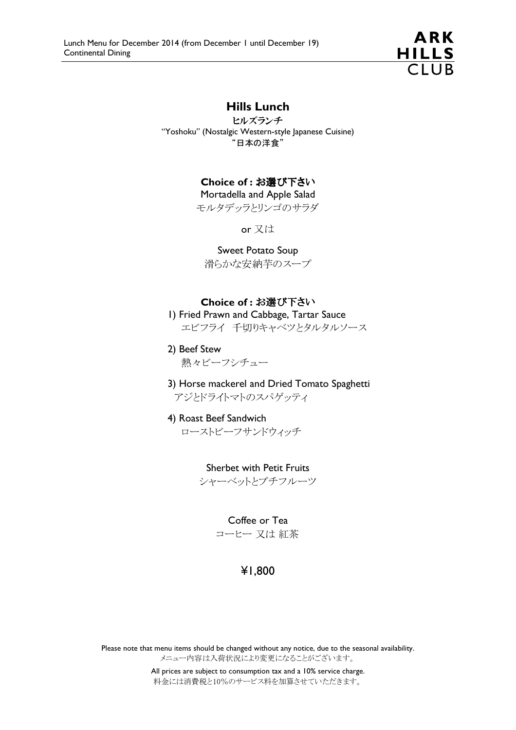

## Hills Lunch

ヒルズランチ "Yoshoku" (Nostalgic Western-style Japanese Cuisine) "日本の洋食"

## Choice of : お選び下さい

Mortadella and Apple Salad モルタデッラとリンゴのサラダ

or 又は

### Sweet Potato Soup

滑らかな安納芋のスープ

### Choice of : お選び下さい

 1) Fried Prawn and Cabbage, Tartar Sauce エビフライ 千切りキャベツとタルタルソース

 2) Beef Stew 熱々ビーフシチュー

- 3) Horse mackerel and Dried Tomato Spaghetti アジとドライトマトのスパゲッティ
- 4) Roast Beef Sandwich ローストビーフサンドウィッチ

Sherbet with Petit Fruits シャーベットとプチフルーツ

> Coffee or Tea コーヒー 又は 紅茶

# ¥1,800

Please note that menu items should be changed without any notice, due to the seasonal availability. メニュー内容は入荷状況により変更になることがございます。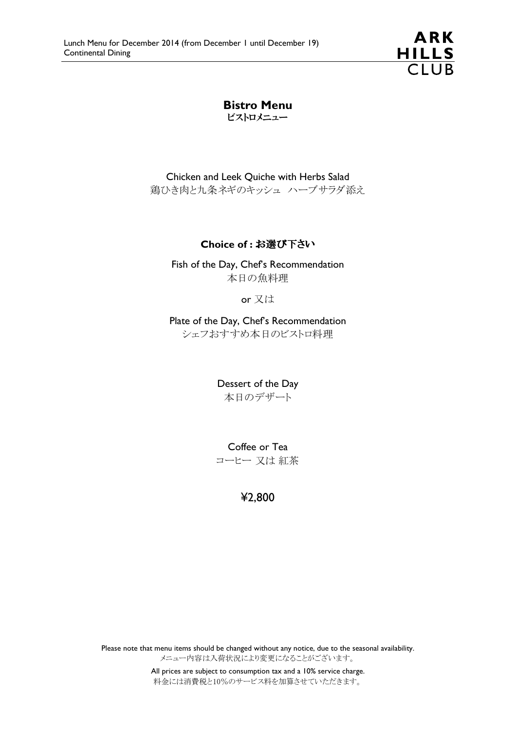

Bistro Menu ビストロメニュー

Chicken and Leek Quiche with Herbs Salad 鶏ひき肉と九条ネギのキッシュ ハーブサラダ添え

### Choice of : お選び下さい

Fish of the Day, Chef's Recommendation 本日の魚料理

or 又は

Plate of the Day, Chef's Recommendation シェフおすすめ本日のビストロ料理

> Dessert of the Day 本日のデザート

> Coffee or Tea コーヒー 又は 紅茶

> > ¥2,800

Please note that menu items should be changed without any notice, due to the seasonal availability. メニュー内容は入荷状況により変更になることがございます。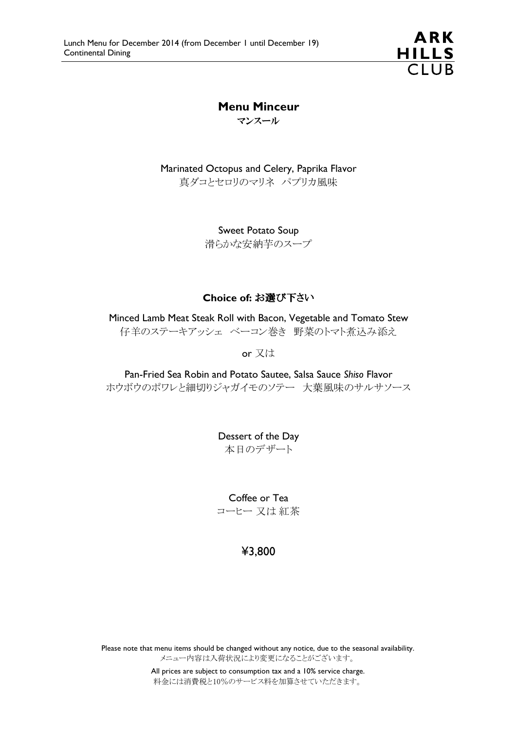**ARK** HILLS<br>CLUB

# Menu Minceur

マンスール

Marinated Octopus and Celery, Paprika Flavor 真ダコとセロリのマリネ パプリカ風味

> Sweet Potato Soup 滑らかな安納芋のスープ

### Choice of: お選び下さい

Minced Lamb Meat Steak Roll with Bacon, Vegetable and Tomato Stew 仔羊のステーキアッシェ ベーコン巻き 野菜のトマト煮込み添え

or 又は

Pan-Fried Sea Robin and Potato Sautee, Salsa Sauce Shiso Flavor ホウボウのポワレと細切りジャガイモのソテー 大葉風味のサルサソース

> Dessert of the Day 本日のデザート

Coffee or Tea コーヒー 又は 紅茶

## ¥3,800

Please note that menu items should be changed without any notice, due to the seasonal availability. メニュー内容は入荷状況により変更になることがございます。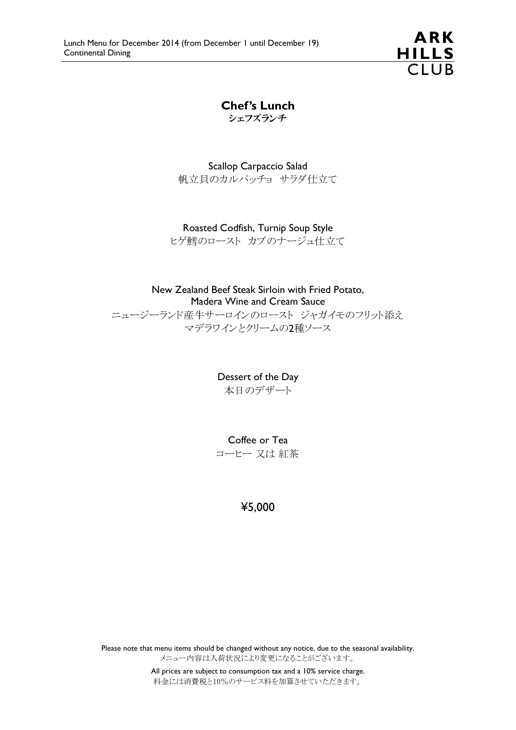**ARK** HILLS<br>CLUB

Chef's Lunch シェフズランチ

Scallop Carpaccio Salad 帆立貝のカルパッチョ サラダ仕立て

Roasted Codfish, Turnip Soup Style ヒゲ鱈のロースト カブのナージュ仕立て

New Zealand Beef Steak Sirloin with Fried Potato, Madera Wine and Cream Sauce ニュージーランド産牛サーロインのロースト ジャガイモのフリット添え マデラワインとクリームの2種ソース

> Dessert of the Day 本日のデザート

> Coffee or Tea コーヒー 又は 紅茶

## ¥5,000

Please note that menu items should be changed without any notice, due to the seasonal availability. メニュー内容は入荷状況により変更になることがございます。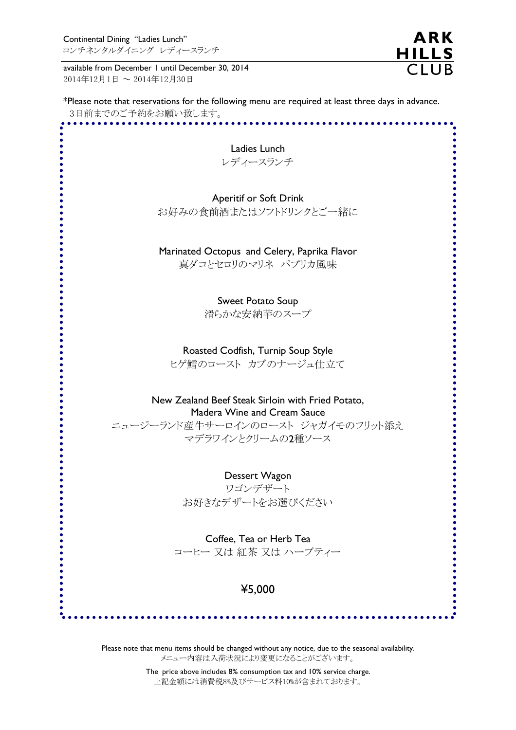available from December 1 until December 30, 2014 2014年12月1日 ~ 2014年12月30日

\*Please note that reservations for the following menu are required at least three days in advance. 3日前までのご予約をお願い致します。

**ARK** 

HILLS<br>CLUB

| Ladies Lunch                                                                                        |  |
|-----------------------------------------------------------------------------------------------------|--|
| レディースランチ                                                                                            |  |
|                                                                                                     |  |
| <b>Aperitif or Soft Drink</b>                                                                       |  |
| お好みの食前酒またはソフトドリンクとご一緒に                                                                              |  |
|                                                                                                     |  |
|                                                                                                     |  |
| Marinated Octopus and Celery, Paprika Flavor                                                        |  |
| 真ダコとセロリのマリネ パプリカ風味                                                                                  |  |
|                                                                                                     |  |
|                                                                                                     |  |
| <b>Sweet Potato Soup</b>                                                                            |  |
| 滑らかな安納芋のスープ                                                                                         |  |
|                                                                                                     |  |
| Roasted Codfish, Turnip Soup Style                                                                  |  |
| ヒゲ鱈のロースト カブのナージュ仕立て                                                                                 |  |
|                                                                                                     |  |
|                                                                                                     |  |
| New Zealand Beef Steak Sirloin with Fried Potato,                                                   |  |
| Madera Wine and Cream Sauce                                                                         |  |
| ニュージーランド産牛サーロインのロースト ジャガイモのフリット添え<br>マデラワインとクリームの2種ソース                                              |  |
|                                                                                                     |  |
|                                                                                                     |  |
| Dessert Wagon                                                                                       |  |
| ワゴンデザート                                                                                             |  |
| お好きなデザートをお選びください                                                                                    |  |
|                                                                                                     |  |
|                                                                                                     |  |
| Coffee, Tea or Herb Tea                                                                             |  |
| コーヒー 又は 紅茶 又は ハーブティー                                                                                |  |
|                                                                                                     |  |
| ¥5,000                                                                                              |  |
|                                                                                                     |  |
|                                                                                                     |  |
|                                                                                                     |  |
| Please note that menu items should be changed without any notice, due to the seasonal availability. |  |
| メニュー内容は入荷状況により変更になることがございます。                                                                        |  |

The price above includes 8% consumption tax and 10% service charge. 上記金額には消費税8%及びサービス料10%が含まれております。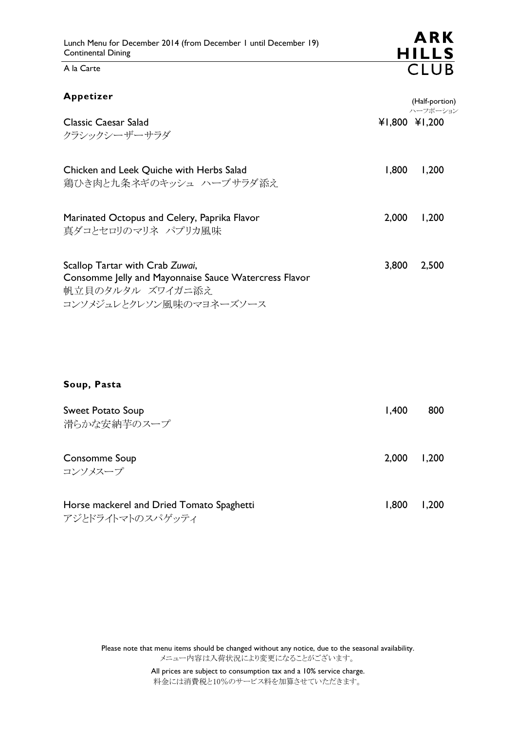コンソメジュレとクレソン風味のマヨネーズソース

A la Carte

| Appetizer                                                                                                    |       | (Half-portion)            |
|--------------------------------------------------------------------------------------------------------------|-------|---------------------------|
| Classic Caesar Salad<br>クラシックシーザーサラダ                                                                         |       | ハーフポーション<br>¥1,800 ¥1,200 |
| Chicken and Leek Quiche with Herbs Salad<br>鶏ひき肉と九条ネギのキッシュ ハーブサラダ添え                                          | 1,800 | 1,200                     |
| Marinated Octopus and Celery, Paprika Flavor<br>真ダコとセロリのマリネ パプリカ風味                                           | 2,000 | 1,200                     |
| Scallop Tartar with Crab Zuwai,<br>Consomme Jelly and Mayonnaise Sauce Watercress Flavor<br>帆立貝のタルタル ズワイガニ添え | 3,800 | 2,500                     |

Soup, Pasta

| <b>Sweet Potato Soup</b><br>滑らかな安納芋のスープ                       | 1,400 | 800   |
|---------------------------------------------------------------|-------|-------|
| Consomme Soup<br>コンソメスープ                                      | 2.000 | 1,200 |
| Horse mackerel and Dried Tomato Spaghetti<br>アジとドライトマトのスパゲッティ | 1.800 | 1,200 |

Please note that menu items should be changed without any notice, due to the seasonal availability. メニュー内容は入荷状況により変更になることがございます。